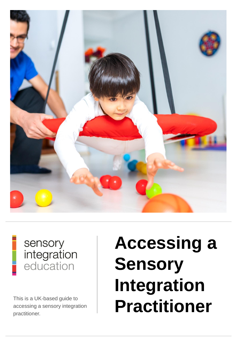

# sensory integration<br>education

accessing a sensory integration practitioner.

# **Accessing a Sensory Integration**  This is a UK-based guide to<br>accessing a sensory integration **Practitioner**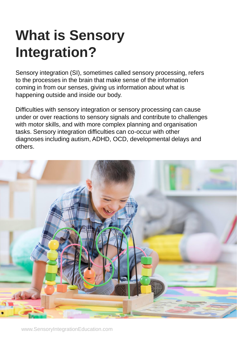# **What is Sensory Integration?**

Sensory integration (SI), sometimes called sensory processing, refers to the processes in the brain that make sense of the information coming in from our senses, giving us information about what is happening outside and inside our body.

Difficulties with sensory integration or sensory processing can cause under or over reactions to sensory signals and contribute to challenges with motor skills, and with more complex planning and organisation tasks. Sensory integration difficulties can co-occur with other diagnoses including autism, ADHD, OCD, developmental delays and others.

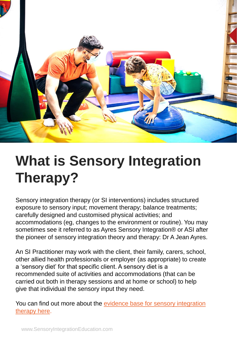

# **What is Sensory Integration Therapy?**

Sensory integration therapy (or SI interventions) includes structured exposure to sensory input; movement therapy; balance treatments; carefully designed and customised physical activities; and accommodations (eg, changes to the environment or routine). You may sometimes see it referred to as Ayres Sensory Integration® or ASI after the pioneer of sensory integration theory and therapy: Dr A Jean Ayres.

An SI Practitioner may work with the client, their family, carers, school, other allied health professionals or employer (as appropriate) to create a 'sensory diet' for that specific client. A sensory diet is a recommended suite of activities and accommodations (that can be carried out both in therapy sessions and at home or school) to help give that individual the sensory input they need.

You can find out more about the evidence base for sensory integration therapy here.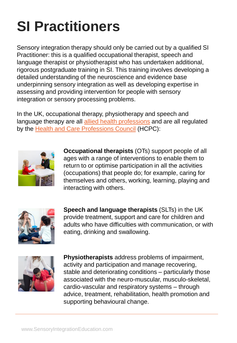# **SI Practitioners**

Sensory integration therapy should only be carried out by a qualified SI Practitioner: this is a qualified occupational therapist, speech and language therapist or physiotherapist who has undertaken additional, rigorous postgraduate training in SI. This training involves developing a detailed understanding of the neuroscience and evidence base underpinning sensory integration as well as developing expertise in assessing and providing intervention for people with sensory integration or sensory processing problems.

In the UK, occupational therapy, physiotherapy and speech and language therapy are all [allied health professions](https://www.england.nhs.uk/ahp/role/) and are all regulated by the [Health and Care Professions Council](https://www.hcpc-uk.org/) (HCPC):



**Occupational therapists** (OTs) support people of all ages with a range of interventions to enable them to return to or optimise participation in all the activities (occupations) that people do; for example, caring for themselves and others, working, learning, playing and interacting with others.



**Speech and language therapists** (SLTs) in the UK provide treatment, support and care for children and adults who have difficulties with communication, or with eating, drinking and swallowing.



**Physiotherapists** address problems of impairment, activity and participation and manage recovering, stable and deteriorating conditions – particularly those associated with the neuro-muscular, musculo-skeletal, cardio-vascular and respiratory systems – through advice, treatment, rehabilitation, health promotion and supporting behavioural change.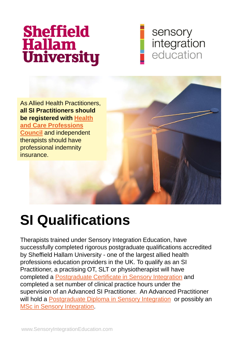# **Sheffield Hallam<br>University**

#### sensory integration education

As Allied Health Practitioners, **all SI Practitioners should [be registered with Health](https://www.hcpc-uk.org/) and Care Professions Council** and independent therapists should have professional indemnity insurance.



## **SI Qualifications**

Therapists trained under Sensory Integration Education, have successfully completed rigorous postgraduate qualifications accredited by Sheffield Hallam University - one of the largest allied health professions education providers in the UK. To qualify as an SI Practitioner, a practising OT, SLT or physiotherapist will have completed a [Postgraduate Certificate in Sensory Integration](https://www.sensoryintegrationeducation.com/pages/si-practitioner-training) and completed a set number of clinical practice hours under the supervision of an Advanced SI Practitioner. An Advanced Practitioner will hold a [Postgraduate Diploma in Sensory Integration](https://www.sensoryintegrationeducation.com/courses/pgdip-sie) or possibly an [MSc in Sensory Integration](https://www.sensoryintegrationeducation.com/courses/msc-sie).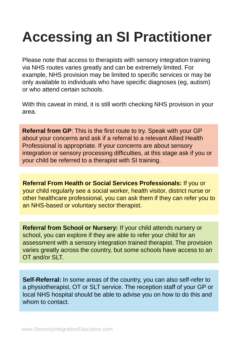# **Accessing an SI Practitioner**

Please note that access to therapists with sensory integration training via NHS routes varies greatly and can be extremely limited. For example, NHS provision may be limited to specific services or may be only available to individuals who have specific diagnoses (eg, autism) or who attend certain schools.

With this caveat in mind, it is still worth checking NHS provision in your area.

**Referral from GP**: This is the first route to try. Speak with your GP about your concerns and ask if a referral to a relevant Allied Health Professional is appropriate. If your concerns are about sensory integration or sensory processing difficulties, at this stage ask if you or your child be referred to a therapist with SI training.

**Referral From Health or Social Services Professionals:** If you or your child regularly see a social worker, health visitor, district nurse or other healthcare professional, you can ask them if they can refer you to an NHS-based or voluntary sector therapist.

**Referral from School or Nursery:** If your child attends nursery or school, you can explore if they are able to refer your child for an assessment with a sensory integration trained therapist. The provision varies greatly across the country, but some schools have access to an OT and/or SLT.

**Self-Referral:** In some areas of the country, you can also self-refer to a physiotherapist, OT or SLT service. The reception staff of your GP or local NHS hospital should be able to advise you on how to do this and whom to contact.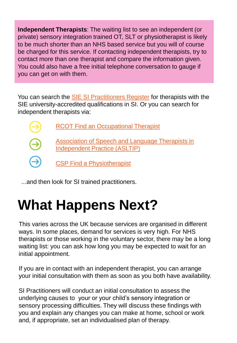**Independent Therapists**: The waiting list to see an independent (or private) sensory integration trained OT, SLT or physiotherapist is likely to be much shorter than an NHS based service but you will of course be charged for this service. If contacting independent therapists, try to contact more than one therapist and compare the information given. You could also have a free initial telephone conversation to gauge if you can get on with them.

You can search the [SIE SI Practitioners Register](https://www.sensoryintegrationeducation.com/pages/asip-register) for therapists with the SIE university-accredited qualifications in SI. Or you can search for independent therapists via:



...and then look for SI trained practitioners.

# **What Happens Next?**

This varies across the UK because services are organised in different ways. In some places, demand for services is very high. For NHS therapists or those working in the voluntary sector, there may be a long waiting list: you can ask how long you may be expected to wait for an initial appointment.

If you are in contact with an independent therapist, you can arrange your initial consultation with them as soon as you both have availability.

SI Practitioners will conduct an initial consultation to assess the underlying causes to your or your child's sensory integration or sensory processing difficulties. They will discuss these findings with you and explain any changes you can make at home, school or work and, if appropriate, set an individualised plan of therapy.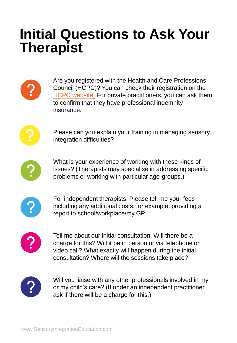### **Initial Questions to Ask Your Therapist**



Are you registered with the Health and Care Professions Council (HCPC)? You can check their registration on the [HCPC website.](https://www.hcpc-uk.org/check-the-register/) For private practitioners, you can ask them to confirm that they have professional indemnity insurance.



Please can you explain your training in managing sensory integration difficulties?



What is your experience of working with these kinds of issues? (Therapists may specialise in addressing specific problems or working with particular age-groups.)



For independent therapists: Please tell me your fees including any additional costs, for example, providing a report to school/workplace/my GP.



Tell me about our initial consultation. Will there be a charge for this? Will it be in person or via telephone or video call? What exactly will happen during the initial consultation? Where will the sessions take place?



Will you liaise with any other professionals involved in my or my child's care? (If under an independent practitioner, ask if there will be a charge for this.)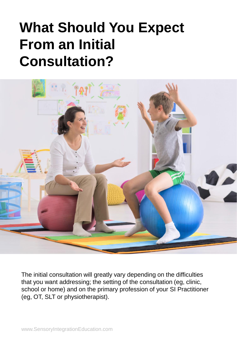## **What Should You Expect From an Initial Consultation?**



The initial consultation will greatly vary depending on the difficulties that you want addressing; the setting of the consultation (eg, clinic, school or home) and on the primary profession of your SI Practitioner (eg, OT, SLT or physiotherapist).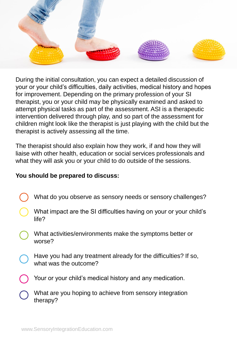

During the initial consultation, you can expect a detailed discussion of your or your child's difficulties, daily activities, medical history and hopes for improvement. Depending on the primary profession of your SI therapist, you or your child may be physically examined and asked to attempt physical tasks as part of the assessment. ASI is a therapeutic intervention delivered through play, and so part of the assessment for children might look like the therapist is just playing with the child but the therapist is actively assessing all the time.

The therapist should also explain how they work, if and how they will liaise with other health, education or social services professionals and what they will ask you or your child to do outside of the sessions.

#### **You should be prepared to discuss:**

- What do you observe as sensory needs or sensory challenges?
- What impact are the SI difficulties having on your or your child's life?
- What activities/environments make the symptoms better or worse?
- Have you had any treatment already for the difficulties? If so, what was the outcome?
- Your or your child's medical history and any medication.
- What are you hoping to achieve from sensory integration therapy?